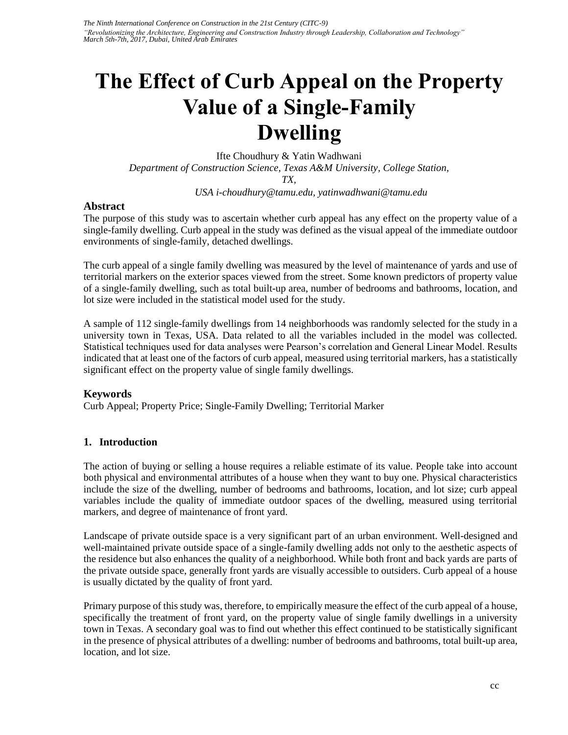# **The Effect of Curb Appeal on the Property Value of a Single-Family Dwelling**

Ifte Choudhury & Yatin Wadhwani *Department of Construction Science, Texas A&M University, College Station, TX, USA i-choudhury@tamu.edu, yatinwadhwani@tamu.edu* 

#### **Abstract**

The purpose of this study was to ascertain whether curb appeal has any effect on the property value of a single-family dwelling. Curb appeal in the study was defined as the visual appeal of the immediate outdoor environments of single-family, detached dwellings.

The curb appeal of a single family dwelling was measured by the level of maintenance of yards and use of territorial markers on the exterior spaces viewed from the street. Some known predictors of property value of a single-family dwelling, such as total built-up area, number of bedrooms and bathrooms, location, and lot size were included in the statistical model used for the study.

A sample of 112 single-family dwellings from 14 neighborhoods was randomly selected for the study in a university town in Texas, USA. Data related to all the variables included in the model was collected. Statistical techniques used for data analyses were Pearson's correlation and General Linear Model. Results indicated that at least one of the factors of curb appeal, measured using territorial markers, has a statistically significant effect on the property value of single family dwellings.

# **Keywords**

Curb Appeal; Property Price; Single-Family Dwelling; Territorial Marker

# **1. Introduction**

The action of buying or selling a house requires a reliable estimate of its value. People take into account both physical and environmental attributes of a house when they want to buy one. Physical characteristics include the size of the dwelling, number of bedrooms and bathrooms, location, and lot size; curb appeal variables include the quality of immediate outdoor spaces of the dwelling, measured using territorial markers, and degree of maintenance of front yard.

Landscape of private outside space is a very significant part of an urban environment. Well-designed and well-maintained private outside space of a single-family dwelling adds not only to the aesthetic aspects of the residence but also enhances the quality of a neighborhood. While both front and back yards are parts of the private outside space, generally front yards are visually accessible to outsiders. Curb appeal of a house is usually dictated by the quality of front yard.

Primary purpose of this study was, therefore, to empirically measure the effect of the curb appeal of a house, specifically the treatment of front yard, on the property value of single family dwellings in a university town in Texas. A secondary goal was to find out whether this effect continued to be statistically significant in the presence of physical attributes of a dwelling: number of bedrooms and bathrooms, total built-up area, location, and lot size.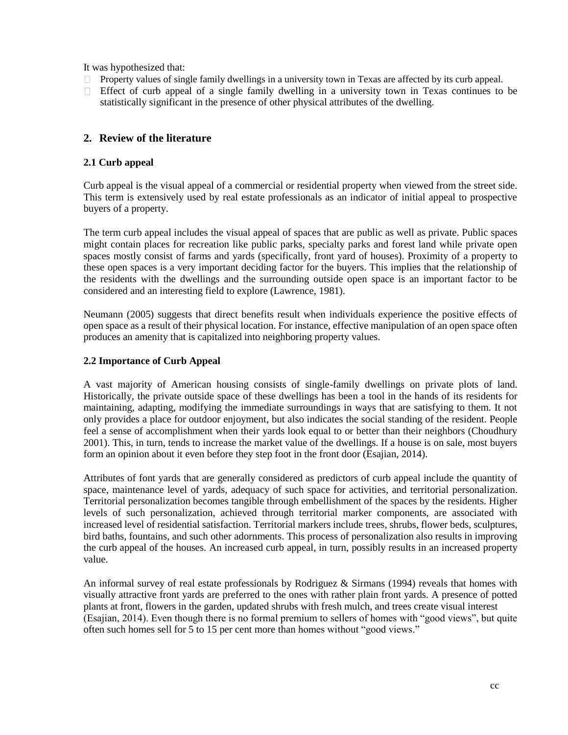It was hypothesized that:

- Property values of single family dwellings in a university town in Texas are affected by its curb appeal. П.
- $\Box$  Effect of curb appeal of a single family dwelling in a university town in Texas continues to be statistically significant in the presence of other physical attributes of the dwelling.

#### **2. Review of the literature**

#### **2.1 Curb appeal**

Curb appeal is the visual appeal of a commercial or residential property when viewed from the street side. This term is extensively used by real estate professionals as an indicator of initial appeal to prospective buyers of a property.

The term curb appeal includes the visual appeal of spaces that are public as well as private. Public spaces might contain places for recreation like public parks, specialty parks and forest land while private open spaces mostly consist of farms and yards (specifically, front yard of houses). Proximity of a property to these open spaces is a very important deciding factor for the buyers. This implies that the relationship of the residents with the dwellings and the surrounding outside open space is an important factor to be considered and an interesting field to explore (Lawrence, 1981).

Neumann (2005) suggests that direct benefits result when individuals experience the positive effects of open space as a result of their physical location. For instance, effective manipulation of an open space often produces an amenity that is capitalized into neighboring property values.

#### **2.2 Importance of Curb Appeal**

A vast majority of American housing consists of single-family dwellings on private plots of land. Historically, the private outside space of these dwellings has been a tool in the hands of its residents for maintaining, adapting, modifying the immediate surroundings in ways that are satisfying to them. It not only provides a place for outdoor enjoyment, but also indicates the social standing of the resident. People feel a sense of accomplishment when their yards look equal to or better than their neighbors (Choudhury 2001). This, in turn, tends to increase the market value of the dwellings. If a house is on sale, most buyers form an opinion about it even before they step foot in the front door (Esajian, 2014).

Attributes of font yards that are generally considered as predictors of curb appeal include the quantity of space, maintenance level of yards, adequacy of such space for activities, and territorial personalization. Territorial personalization becomes tangible through embellishment of the spaces by the residents. Higher levels of such personalization, achieved through territorial marker components, are associated with increased level of residential satisfaction. Territorial markers include trees, shrubs, flower beds, sculptures, bird baths, fountains, and such other adornments. This process of personalization also results in improving the curb appeal of the houses. An increased curb appeal, in turn, possibly results in an increased property value.

An informal survey of real estate professionals by Rodriguez & Sirmans (1994) reveals that homes with visually attractive front yards are preferred to the ones with rather plain front yards. A presence of potted plants at front, flowers in the garden, updated shrubs with fresh mulch, and trees create visual interest (Esajian, 2014). Even though there is no formal premium to sellers of homes with "good views", but quite often such homes sell for 5 to 15 per cent more than homes without "good views."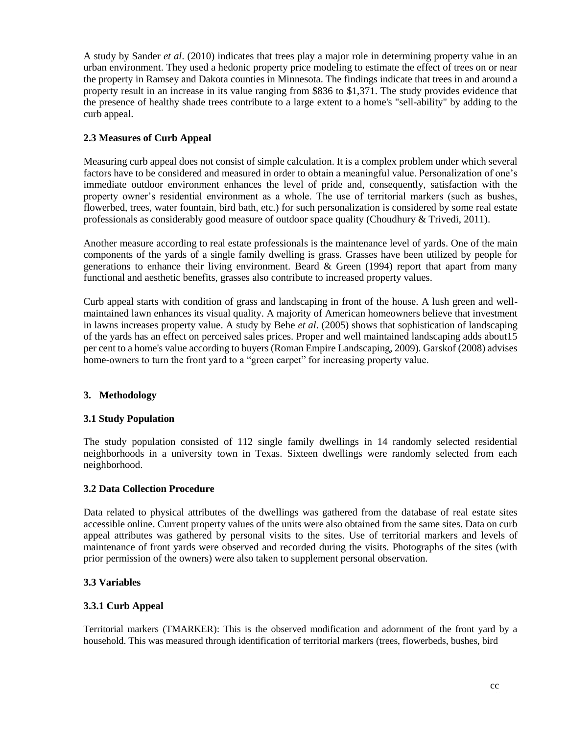A study by Sander *et al*. (2010) indicates that trees play a major role in determining property value in an urban environment. They used a hedonic property price modeling to estimate the effect of trees on or near the property in Ramsey and Dakota counties in Minnesota. The findings indicate that trees in and around a property result in an increase in its value ranging from \$836 to \$1,371. The study provides evidence that the presence of healthy shade trees contribute to a large extent to a home's "sell-ability" by adding to the curb appeal.

# **2.3 Measures of Curb Appeal**

Measuring curb appeal does not consist of simple calculation. It is a complex problem under which several factors have to be considered and measured in order to obtain a meaningful value. Personalization of one's immediate outdoor environment enhances the level of pride and, consequently, satisfaction with the property owner's residential environment as a whole. The use of territorial markers (such as bushes, flowerbed, trees, water fountain, bird bath, etc.) for such personalization is considered by some real estate professionals as considerably good measure of outdoor space quality (Choudhury & Trivedi, 2011).

Another measure according to real estate professionals is the maintenance level of yards. One of the main components of the yards of a single family dwelling is grass. Grasses have been utilized by people for generations to enhance their living environment. Beard & Green (1994) report that apart from many functional and aesthetic benefits, grasses also contribute to increased property values.

Curb appeal starts with condition of grass and landscaping in front of the house. A lush green and wellmaintained lawn enhances its visual quality. A majority of American homeowners believe that investment in lawns increases property value. A study by Behe *et al*. (2005) shows that sophistication of landscaping of the yards has an effect on perceived sales prices. Proper and well maintained landscaping adds about15 per cent to a home's value according to buyers (Roman Empire Landscaping, 2009). Garskof (2008) advises home-owners to turn the front yard to a "green carpet" for increasing property value.

# **3. Methodology**

# **3.1 Study Population**

The study population consisted of 112 single family dwellings in 14 randomly selected residential neighborhoods in a university town in Texas. Sixteen dwellings were randomly selected from each neighborhood.

# **3.2 Data Collection Procedure**

Data related to physical attributes of the dwellings was gathered from the database of real estate sites accessible online. Current property values of the units were also obtained from the same sites. Data on curb appeal attributes was gathered by personal visits to the sites. Use of territorial markers and levels of maintenance of front yards were observed and recorded during the visits. Photographs of the sites (with prior permission of the owners) were also taken to supplement personal observation.

# **3.3 Variables**

# **3.3.1 Curb Appeal**

Territorial markers (TMARKER): This is the observed modification and adornment of the front yard by a household. This was measured through identification of territorial markers (trees, flowerbeds, bushes, bird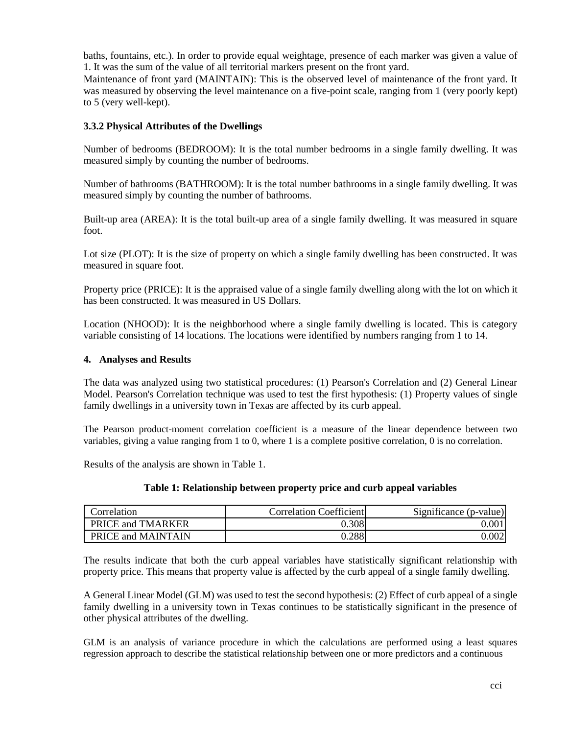baths, fountains, etc.). In order to provide equal weightage, presence of each marker was given a value of 1. It was the sum of the value of all territorial markers present on the front yard.

Maintenance of front yard (MAINTAIN): This is the observed level of maintenance of the front yard. It was measured by observing the level maintenance on a five-point scale, ranging from 1 (very poorly kept) to 5 (very well-kept).

#### **3.3.2 Physical Attributes of the Dwellings**

Number of bedrooms (BEDROOM): It is the total number bedrooms in a single family dwelling. It was measured simply by counting the number of bedrooms.

Number of bathrooms (BATHROOM): It is the total number bathrooms in a single family dwelling. It was measured simply by counting the number of bathrooms.

Built-up area (AREA): It is the total built-up area of a single family dwelling. It was measured in square foot.

Lot size (PLOT): It is the size of property on which a single family dwelling has been constructed. It was measured in square foot.

Property price (PRICE): It is the appraised value of a single family dwelling along with the lot on which it has been constructed. It was measured in US Dollars.

Location (NHOOD): It is the neighborhood where a single family dwelling is located. This is category variable consisting of 14 locations. The locations were identified by numbers ranging from 1 to 14.

#### **4. Analyses and Results**

The data was analyzed using two statistical procedures: (1) Pearson's Correlation and (2) General Linear Model. Pearson's Correlation technique was used to test the first hypothesis: (1) Property values of single family dwellings in a university town in Texas are affected by its curb appeal.

The Pearson product-moment correlation coefficient is a measure of the linear dependence between two variables, giving a value ranging from 1 to 0, where 1 is a complete positive correlation, 0 is no correlation.

Results of the analysis are shown in Table 1.

| Correlation        | <b>Correlation Coefficient</b> | Significance (p-value) |
|--------------------|--------------------------------|------------------------|
| PRICE and TMARKER  | 0.308                          | $0.00\,$               |
| PRICE and MAINTAIN | 0.288                          | 0.002                  |

The results indicate that both the curb appeal variables have statistically significant relationship with property price. This means that property value is affected by the curb appeal of a single family dwelling.

A General Linear Model (GLM) was used to test the second hypothesis: (2) Effect of curb appeal of a single family dwelling in a university town in Texas continues to be statistically significant in the presence of other physical attributes of the dwelling.

GLM is an analysis of variance procedure in which the calculations are performed using a least squares regression approach to describe the statistical relationship between one or more predictors and a continuous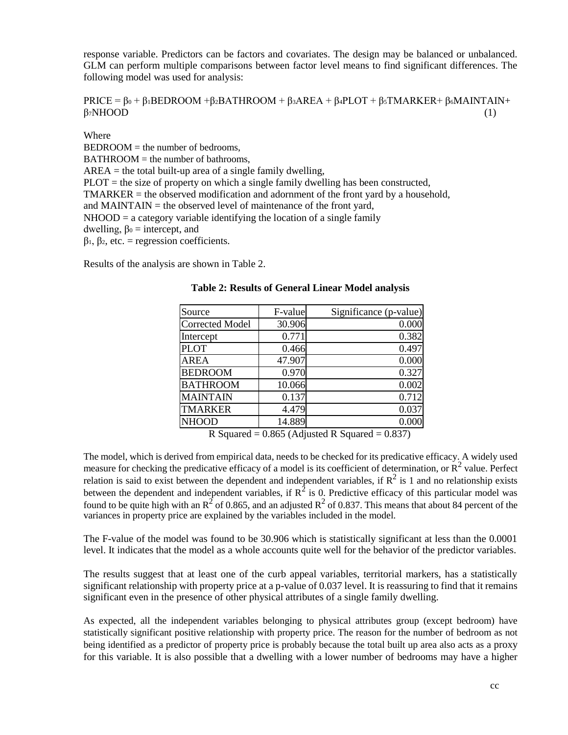response variable. Predictors can be factors and covariates. The design may be balanced or unbalanced. GLM can perform multiple comparisons between factor level means to find significant differences. The following model was used for analysis:

#### PRICE =  $β_0 + β_1BEDROOM + β_2BATHROOM + β_3AREA + β_4PLOT + β_5TMARKER + β_6MAINTAIN+$  $\beta_7$ NHOOD (1)

Where

 $BEDROOM =$  the number of bedrooms.  $BATHROOM =$  the number of bathrooms,  $AREA =$  the total built-up area of a single family dwelling,  $PLOT$  = the size of property on which a single family dwelling has been constructed,  $TMARKER =$  the observed modification and adornment of the front yard by a household, and MAINTAIN  $=$  the observed level of maintenance of the front yard,  $NHOOD = a category variable identifying the location of a single family$ dwelling,  $β<sub>0</sub> = intercept, and$ β1, β2, etc. = regression coefficients.

Results of the analysis are shown in Table 2.

| Source                         | F-value        | Significance (p-value)                  |
|--------------------------------|----------------|-----------------------------------------|
| <b>Corrected Model</b>         | 30.906         | 0.000                                   |
| Intercept                      | 0.771          | 0.382                                   |
| <b>PLOT</b>                    | 0.466          | 0.497                                   |
| <b>AREA</b>                    | 47.907         | 0.000                                   |
| <b>BEDROOM</b>                 | 0.970          | 0.327                                   |
| <b>BATHROOM</b>                | 10.066         | 0.002                                   |
| <b>MAINTAIN</b>                | 0.137          | 0.712                                   |
| <b>TMARKER</b>                 | 4.479          | 0.037                                   |
| <b>NHOOD</b>                   | 14.889         | 0.000                                   |
| $\blacksquare$<br>$\mathbf{a}$ | $0.055 \pm 11$ | $\cdots$ in $\alpha$<br>$1 \cap \Omega$ |

**Table 2: Results of General Linear Model analysis**

R Squared =  $0.865$  (Adjusted R Squared =  $0.837$ )

The model, which is derived from empirical data, needs to be checked for its predicative efficacy. A widely used measure for checking the predicative efficacy of a model is its coefficient of determination, or  $\mathbb{R}^2$  value. Perfect relation is said to exist between the dependent and independent variables, if  $R^2$  is 1 and no relationship exists between the dependent and independent variables, if  $R^2$  is 0. Predictive efficacy of this particular model was found to be quite high with an  $R^2$  of 0.865, and an adjusted  $R^2$  of 0.837. This means that about 84 percent of the variances in property price are explained by the variables included in the model.

The F-value of the model was found to be 30.906 which is statistically significant at less than the 0.0001 level. It indicates that the model as a whole accounts quite well for the behavior of the predictor variables.

The results suggest that at least one of the curb appeal variables, territorial markers, has a statistically significant relationship with property price at a p-value of 0.037 level. It is reassuring to find that it remains significant even in the presence of other physical attributes of a single family dwelling.

As expected, all the independent variables belonging to physical attributes group (except bedroom) have statistically significant positive relationship with property price. The reason for the number of bedroom as not being identified as a predictor of property price is probably because the total built up area also acts as a proxy for this variable. It is also possible that a dwelling with a lower number of bedrooms may have a higher